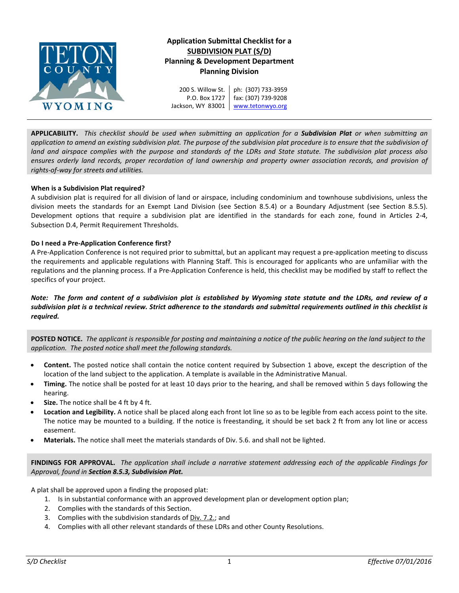

# **Application Submittal Checklist for a SUBDIVISION PLAT (S/D) Planning & Development Department Planning Division**

200 S. Willow St. P.O. Box 1727 Jackson, WY 83001 ph: (307) 733-3959 fax: (307) 739-9208 [www.tetonwyo.org](http://www.tetonwyo.org/)

**APPLICABILITY.** *This checklist should be used when submitting an application for a Subdivision Plat or when submitting an application to amend an existing subdivision plat. The purpose of the subdivision plat procedure is to ensure that the subdivision of land and airspace complies with the purpose and standards of the LDRs and State statute. The subdivision plat process also ensures orderly land records, proper recordation of land ownership and property owner association records, and provision of rights-of-way for streets and utilities.* 

## **When is a Subdivision Plat required?**

A subdivision plat is required for all division of land or airspace, including condominium and townhouse subdivisions, unless the division meets the standards for an Exempt Land Division (see Section 8.5.4) or a Boundary Adjustment (see Section 8.5.5). Development options that require a subdivision plat are identified in the standards for each zone, found in Articles 2-4, Subsection D.4, Permit Requirement Thresholds.

## **Do I need a Pre-Application Conference first?**

A Pre-Application Conference is not required prior to submittal, but an applicant may request a pre-application meeting to discuss the requirements and applicable regulations with Planning Staff. This is encouraged for applicants who are unfamiliar with the regulations and the planning process. If a Pre-Application Conference is held, this checklist may be modified by staff to reflect the specifics of your project.

*Note: The form and content of a subdivision plat is established by Wyoming state statute and the LDRs, and review of a subdivision plat is a technical review. Strict adherence to the standards and submittal requirements outlined in this checklist is required.*

**POSTED NOTICE.** *The applicant is responsible for posting and maintaining a notice of the public hearing on the land subject to the application. The posted notice shall meet the following standards.*

- **Content.** The posted notice shall contain the notice content required by Subsection 1 above, except the description of the location of the land subject to the application. A template is available in the Administrative Manual.
- **Timing.** The notice shall be posted for at least 10 days prior to the hearing, and shall be removed within 5 days following the hearing.
- **Size.** The notice shall be 4 ft by 4 ft.
- **Location and Legibility.** A notice shall be placed along each front lot line so as to be legible from each access point to the site. The notice may be mounted to a building. If the notice is freestanding, it should be set back 2 ft from any lot line or access easement.
- **Materials.** The notice shall meet the materials standards of Div. 5.6. and shall not be lighted.

**FINDINGS FOR APPROVAL.** *The application shall include a narrative statement addressing each of the applicable Findings for Approval, found in Section 8.5.3, Subdivision Plat.*

A plat shall be approved upon a finding the proposed plat:

- 1. Is in substantial conformance with an approved development plan or development option plan;
- 2. Complies with the standards of this Section.
- 3. Complies with the subdivision standards of Div. 7.2.; and
- 4. Complies with all other relevant standards of these LDRs and other County Resolutions.